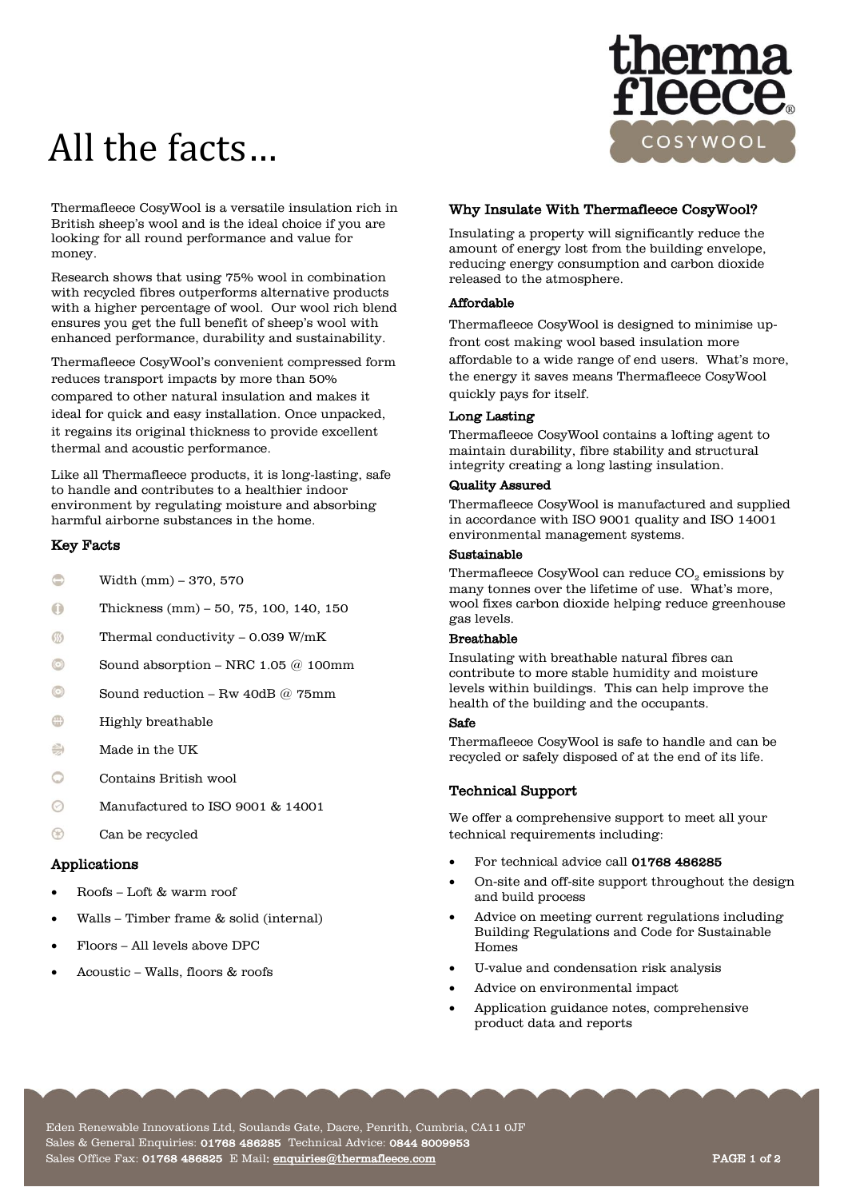# All the facts…



Thermafleece CosyWool is a versatile insulation rich in British sheep's wool and is the ideal choice if you are looking for all round performance and value for money.

Research shows that using 75% wool in combination with recycled fibres outperforms alternative products with a higher percentage of wool. Our wool rich blend ensures you get the full benefit of sheep's wool with enhanced performance, durability and sustainability.

Thermafleece CosyWool's convenient compressed form reduces transport impacts by more than 50% compared to other natural insulation and makes it ideal for quick and easy installation. Once unpacked, it regains its original thickness to provide excellent thermal and acoustic performance.

Like all Thermafleece products, it is long-lasting, safe to handle and contributes to a healthier indoor environment by regulating moisture and absorbing harmful airborne substances in the home.

# Key Facts

- Width (mm) 370, 570
- $\circ$ Thickness (mm) – 50, 75, 100, 140, 150
- $\sqrt{33}$ Thermal conductivity – 0.039 W/mK
- $\left(\bullet\right)$ Sound absorption – NRC 1.05 @ 100mm
- $\odot$ Sound reduction – Rw 40dB @ 75mm
- $CD$ Highly breathable
- $\leq$ Made in the UK
- Contains British wool ◠
- $\odot$ Manufactured to ISO 9001 & 14001
- ® Can be recycled

## Applications

- Roofs Loft & warm roof
- Walls Timber frame & solid (internal)
- Floors All levels above DPC
- Acoustic Walls, floors & roofs

# Why Insulate With Thermafleece CosyWool?

Insulating a property will significantly reduce the amount of energy lost from the building envelope, reducing energy consumption and carbon dioxide released to the atmosphere.

## Affordable

Thermafleece CosyWool is designed to minimise upfront cost making wool based insulation more affordable to a wide range of end users. What's more, the energy it saves means Thermafleece CosyWool quickly pays for itself.

## Long Lasting

Thermafleece CosyWool contains a lofting agent to maintain durability, fibre stability and structural integrity creating a long lasting insulation.

## Quality Assured

Thermafleece CosyWool is manufactured and supplied in accordance with ISO 9001 quality and ISO 14001 environmental management systems.

# Sustainable

Thermafleece CosyWool can reduce  $CO<sub>2</sub>$  emissions by many tonnes over the lifetime of use. What's more, wool fixes carbon dioxide helping reduce greenhouse gas levels.

## Breathable

Insulating with breathable natural fibres can contribute to more stable humidity and moisture levels within buildings. This can help improve the health of the building and the occupants.

## Safe

Thermafleece CosyWool is safe to handle and can be recycled or safely disposed of at the end of its life.

## Technical Support

We offer a comprehensive support to meet all your technical requirements including:

- For technical advice call 01768 486285
- On-site and off-site support throughout the design and build process
- Advice on meeting current regulations including Building Regulations and Code for Sustainable Homes
- U-value and condensation risk analysis
- Advice on environmental impact
- Application guidance notes, comprehensive product data and reports

Eden Renewable Innovations Ltd, Soulands Gate, Dacre, Penrith, Cumbria, CA11 0JF Sales & General Enquiries:  ${\tt 01768\ 486285}$  Technical Advice:  ${\tt 0844\ 8009953}$ Sales Office Fax: 01768 486825 E Mail: enquiries@thermafleece.com entitled and the contract of 2